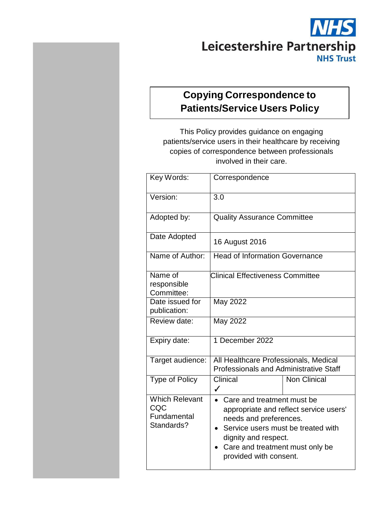# **NHS** Leicestershire Partnership **NHS Trust**

# **Copying Correspondence to Patients/Service Users Policy**

This Policy provides guidance on engaging patients/service users in their healthcare by receiving copies of correspondence between professionals involved in their care.

| Key Words:                                                | Correspondence                                                                                                                                                                                                                         |                     |
|-----------------------------------------------------------|----------------------------------------------------------------------------------------------------------------------------------------------------------------------------------------------------------------------------------------|---------------------|
| Version:                                                  | 3.0                                                                                                                                                                                                                                    |                     |
| Adopted by:                                               | <b>Quality Assurance Committee</b>                                                                                                                                                                                                     |                     |
| Date Adopted                                              | 16 August 2016                                                                                                                                                                                                                         |                     |
| Name of Author:                                           | <b>Head of Information Governance</b>                                                                                                                                                                                                  |                     |
| Name of<br>responsible<br>Committee:                      | <b>Clinical Effectiveness Committee</b>                                                                                                                                                                                                |                     |
| Date issued for<br>publication:                           | May 2022                                                                                                                                                                                                                               |                     |
| Review date:                                              | May 2022                                                                                                                                                                                                                               |                     |
| Expiry date:                                              | 1 December 2022                                                                                                                                                                                                                        |                     |
| Target audience:                                          | All Healthcare Professionals, Medical<br><b>Professionals and Administrative Staff</b>                                                                                                                                                 |                     |
| <b>Type of Policy</b>                                     | Clinical<br>$\checkmark$                                                                                                                                                                                                               | <b>Non Clinical</b> |
| <b>Which Relevant</b><br>CQC<br>Fundamental<br>Standards? | Care and treatment must be<br>$\bullet$<br>appropriate and reflect service users'<br>needs and preferences.<br>Service users must be treated with<br>dignity and respect.<br>Care and treatment must only be<br>provided with consent. |                     |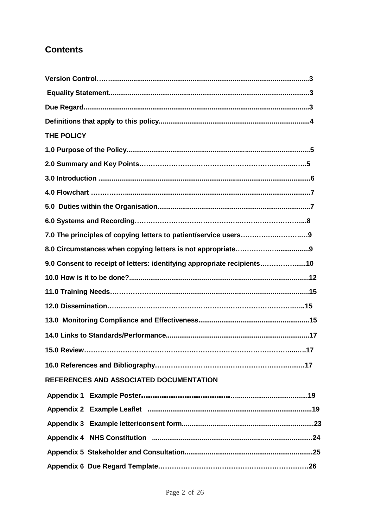## **Contents**

| THE POLICY                                                              |
|-------------------------------------------------------------------------|
|                                                                         |
|                                                                         |
|                                                                         |
|                                                                         |
|                                                                         |
|                                                                         |
|                                                                         |
|                                                                         |
| 9.0 Consent to receipt of letters: identifying appropriate recipients10 |
|                                                                         |
|                                                                         |
|                                                                         |
|                                                                         |
|                                                                         |
|                                                                         |
|                                                                         |
| REFERENCES AND ASSOCIATED DOCUMENTATION                                 |
|                                                                         |
|                                                                         |
|                                                                         |
|                                                                         |
|                                                                         |
|                                                                         |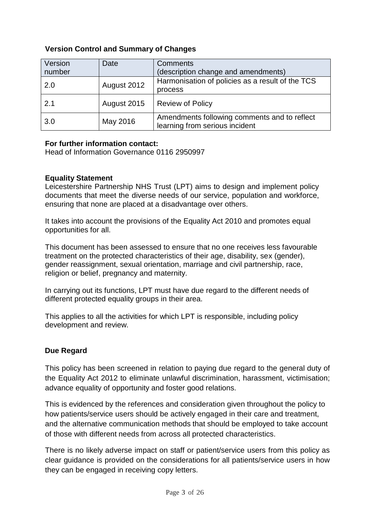#### **Version Control and Summary of Changes**

| Version | Date        | <b>Comments</b>                                                                |
|---------|-------------|--------------------------------------------------------------------------------|
| number  |             | (description change and amendments)                                            |
| 2.0     | August 2012 | Harmonisation of policies as a result of the TCS<br>process                    |
| 2.1     | August 2015 | <b>Review of Policy</b>                                                        |
| 3.0     | May 2016    | Amendments following comments and to reflect<br>learning from serious incident |

#### **For further information contact:**

Head of Information Governance 0116 2950997

#### **Equality Statement**

Leicestershire Partnership NHS Trust (LPT) aims to design and implement policy documents that meet the diverse needs of our service, population and workforce, ensuring that none are placed at a disadvantage over others.

It takes into account the provisions of the Equality Act 2010 and promotes equal opportunities for all.

This document has been assessed to ensure that no one receives less favourable treatment on the protected characteristics of their age, disability, sex (gender), gender reassignment, sexual orientation, marriage and civil partnership, race, religion or belief, pregnancy and maternity.

In carrying out its functions, LPT must have due regard to the different needs of different protected equality groups in their area.

This applies to all the activities for which LPT is responsible, including policy development and review.

#### **Due Regard**

This policy has been screened in relation to paying due regard to the general duty of the Equality Act 2012 to eliminate unlawful discrimination, harassment, victimisation; advance equality of opportunity and foster good relations.

This is evidenced by the references and consideration given throughout the policy to how patients/service users should be actively engaged in their care and treatment, and the alternative communication methods that should be employed to take account of those with different needs from across all protected characteristics.

There is no likely adverse impact on staff or patient/service users from this policy as clear guidance is provided on the considerations for all patients/service users in how they can be engaged in receiving copy letters.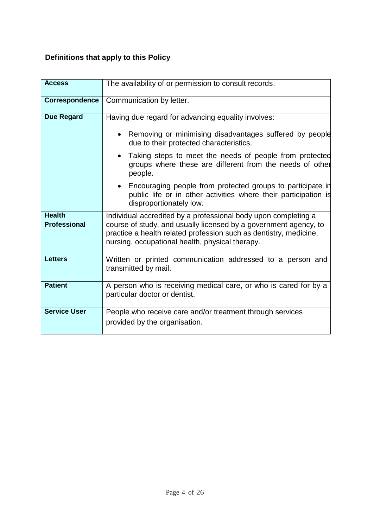# **Definitions that apply to this Policy**

| <b>Access</b>                        | The availability of or permission to consult records.                                                                                                                                                                                                      |  |
|--------------------------------------|------------------------------------------------------------------------------------------------------------------------------------------------------------------------------------------------------------------------------------------------------------|--|
| Correspondence                       | Communication by letter.                                                                                                                                                                                                                                   |  |
| <b>Due Regard</b>                    | Having due regard for advancing equality involves:                                                                                                                                                                                                         |  |
|                                      | Removing or minimising disadvantages suffered by people<br>due to their protected characteristics.                                                                                                                                                         |  |
|                                      | Taking steps to meet the needs of people from protected<br>groups where these are different from the needs of other<br>people.                                                                                                                             |  |
|                                      | Encouraging people from protected groups to participate in<br>public life or in other activities where their participation is<br>disproportionately low.                                                                                                   |  |
| <b>Health</b><br><b>Professional</b> | Individual accredited by a professional body upon completing a<br>course of study, and usually licensed by a government agency, to<br>practice a health related profession such as dentistry, medicine,<br>nursing, occupational health, physical therapy. |  |
| <b>Letters</b>                       | Written or printed communication addressed to a person and<br>transmitted by mail.                                                                                                                                                                         |  |
| <b>Patient</b>                       | A person who is receiving medical care, or who is cared for by a<br>particular doctor or dentist.                                                                                                                                                          |  |
| <b>Service User</b>                  | People who receive care and/or treatment through services<br>provided by the organisation.                                                                                                                                                                 |  |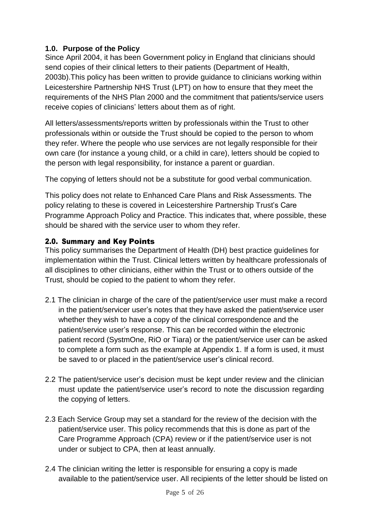#### **1.0. Purpose of the Policy**

Since April 2004, it has been Government policy in England that clinicians should send copies of their clinical letters to their patients (Department of Health, 2003b).This policy has been written to provide guidance to clinicians working within Leicestershire Partnership NHS Trust (LPT) on how to ensure that they meet the requirements of the NHS Plan 2000 and the commitment that patients/service users receive copies of clinicians' letters about them as of right.

All letters/assessments/reports written by professionals within the Trust to other professionals within or outside the Trust should be copied to the person to whom they refer. Where the people who use services are not legally responsible for their own care (for instance a young child, or a child in care), letters should be copied to the person with legal responsibility, for instance a parent or guardian.

The copying of letters should not be a substitute for good verbal communication.

This policy does not relate to Enhanced Care Plans and Risk Assessments. The policy relating to these is covered in Leicestershire Partnership Trust's Care Programme Approach Policy and Practice. This indicates that, where possible, these should be shared with the service user to whom they refer.

#### 2.0. Summary and Key Points

This policy summarises the Department of Health (DH) best practice guidelines for implementation within the Trust. Clinical letters written by healthcare professionals of all disciplines to other clinicians, either within the Trust or to others outside of the Trust, should be copied to the patient to whom they refer.

- 2.1 The clinician in charge of the care of the patient/service user must make a record in the patient/servicer user's notes that they have asked the patient/service user whether they wish to have a copy of the clinical correspondence and the patient/service user's response. This can be recorded within the electronic patient record (SystmOne, RiO or Tiara) or the patient/service user can be asked to complete a form such as the example at Appendix 1. If a form is used, it must be saved to or placed in the patient/service user's clinical record.
- 2.2 The patient/service user's decision must be kept under review and the clinician must update the patient/service user's record to note the discussion regarding the copying of letters.
- 2.3 Each Service Group may set a standard for the review of the decision with the patient/service user. This policy recommends that this is done as part of the Care Programme Approach (CPA) review or if the patient/service user is not under or subject to CPA, then at least annually.
- 2.4 The clinician writing the letter is responsible for ensuring a copy is made available to the patient/service user. All recipients of the letter should be listed on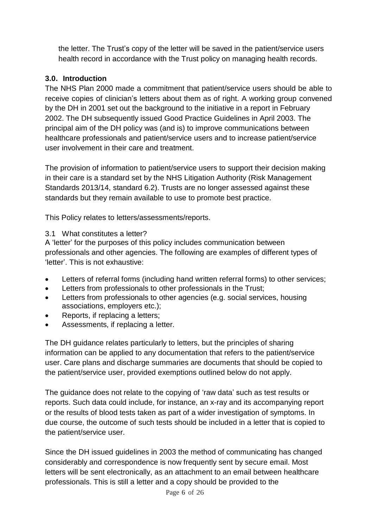the letter. The Trust's copy of the letter will be saved in the patient/service users health record in accordance with the Trust policy on managing health records.

#### **3.0. Introduction**

The NHS Plan 2000 made a commitment that patient/service users should be able to receive copies of clinician's letters about them as of right. A working group convened by the DH in 2001 set out the background to the initiative in a report in February 2002. The DH subsequently issued Good Practice Guidelines in April 2003. The principal aim of the DH policy was (and is) to improve communications between healthcare professionals and patient/service users and to increase patient/service user involvement in their care and treatment.

The provision of information to patient/service users to support their decision making in their care is a standard set by the NHS Litigation Authority (Risk Management Standards 2013/14, standard 6.2). Trusts are no longer assessed against these standards but they remain available to use to promote best practice.

This Policy relates to letters/assessments/reports.

#### 3.1 What constitutes a letter?

A 'letter' for the purposes of this policy includes communication between professionals and other agencies. The following are examples of different types of 'letter'. This is not exhaustive:

- Letters of referral forms (including hand written referral forms) to other services;
- Letters from professionals to other professionals in the Trust;
- Letters from professionals to other agencies (e.g. social services, housing associations, employers etc.);
- Reports, if replacing a letters;
- Assessments, if replacing a letter.

The DH guidance relates particularly to letters, but the principles of sharing information can be applied to any documentation that refers to the patient/service user. Care plans and discharge summaries are documents that should be copied to the patient/service user, provided exemptions outlined below do not apply.

The guidance does not relate to the copying of 'raw data' such as test results or reports. Such data could include, for instance, an x-ray and its accompanying report or the results of blood tests taken as part of a wider investigation of symptoms. In due course, the outcome of such tests should be included in a letter that is copied to the patient/service user.

Since the DH issued guidelines in 2003 the method of communicating has changed considerably and correspondence is now frequently sent by secure email. Most letters will be sent electronically, as an attachment to an email between healthcare professionals. This is still a letter and a copy should be provided to the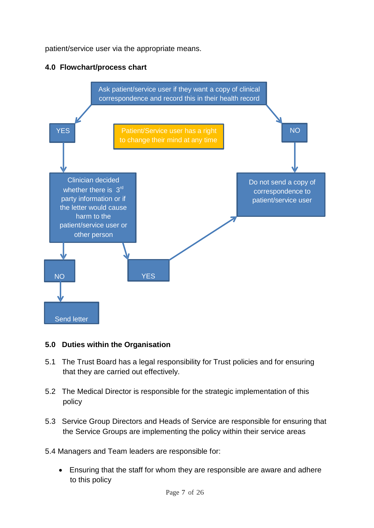patient/service user via the appropriate means.



#### **4.0 Flowchart/process chart**

#### **5.0 Duties within the Organisation**

- 5.1 The Trust Board has a legal responsibility for Trust policies and for ensuring that they are carried out effectively.
- 5.2 The Medical Director is responsible for the strategic implementation of this policy
- 5.3 Service Group Directors and Heads of Service are responsible for ensuring that the Service Groups are implementing the policy within their service areas
- 5.4 Managers and Team leaders are responsible for:
	- Ensuring that the staff for whom they are responsible are aware and adhere to this policy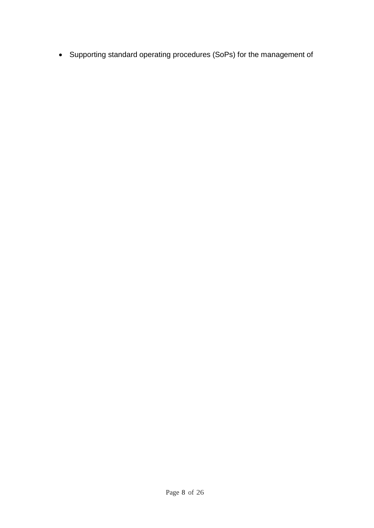• Supporting standard operating procedures (SoPs) for the management of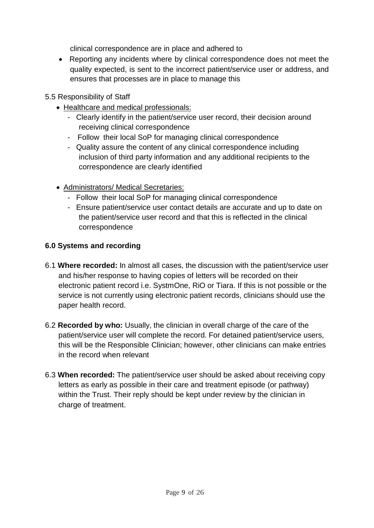clinical correspondence are in place and adhered to

- Reporting any incidents where by clinical correspondence does not meet the quality expected, is sent to the incorrect patient/service user or address, and ensures that processes are in place to manage this
- 5.5 Responsibility of Staff
	- Healthcare and medical professionals:
		- Clearly identify in the patient/service user record, their decision around receiving clinical correspondence
		- Follow their local SoP for managing clinical correspondence
		- Quality assure the content of any clinical correspondence including inclusion of third party information and any additional recipients to the correspondence are clearly identified
	- Administrators/ Medical Secretaries:
		- Follow their local SoP for managing clinical correspondence
		- Ensure patient/service user contact details are accurate and up to date on the patient/service user record and that this is reflected in the clinical correspondence

#### **6.0 Systems and recording**

- 6.1 **Where recorded:** In almost all cases, the discussion with the patient/service user and his/her response to having copies of letters will be recorded on their electronic patient record i.e. SystmOne, RiO or Tiara. If this is not possible or the service is not currently using electronic patient records, clinicians should use the paper health record.
- 6.2 **Recorded by who:** Usually, the clinician in overall charge of the care of the patient/service user will complete the record. For detained patient/service users, this will be the Responsible Clinician; however, other clinicians can make entries in the record when relevant
- 6.3 **When recorded:** The patient/service user should be asked about receiving copy letters as early as possible in their care and treatment episode (or pathway) within the Trust. Their reply should be kept under review by the clinician in charge of treatment.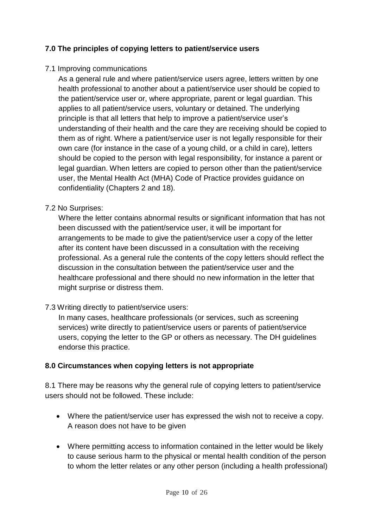#### **7.0 The principles of copying letters to patient/service users**

#### 7.1 Improving communications

As a general rule and where patient/service users agree, letters written by one health professional to another about a patient/service user should be copied to the patient/service user or, where appropriate, parent or legal guardian. This applies to all patient/service users, voluntary or detained. The underlying principle is that all letters that help to improve a patient/service user's understanding of their health and the care they are receiving should be copied to them as of right. Where a patient/service user is not legally responsible for their own care (for instance in the case of a young child, or a child in care), letters should be copied to the person with legal responsibility, for instance a parent or legal guardian. When letters are copied to person other than the patient/service user, the Mental Health Act (MHA) Code of Practice provides guidance on confidentiality (Chapters 2 and 18).

#### 7.2 No Surprises:

Where the letter contains abnormal results or significant information that has not been discussed with the patient/service user, it will be important for arrangements to be made to give the patient/service user a copy of the letter after its content have been discussed in a consultation with the receiving professional. As a general rule the contents of the copy letters should reflect the discussion in the consultation between the patient/service user and the healthcare professional and there should no new information in the letter that might surprise or distress them.

#### 7.3 Writing directly to patient/service users:

In many cases, healthcare professionals (or services, such as screening services) write directly to patient/service users or parents of patient/service users, copying the letter to the GP or others as necessary. The DH guidelines endorse this practice.

#### **8.0 Circumstances when copying letters is not appropriate**

8.1 There may be reasons why the general rule of copying letters to patient/service users should not be followed. These include:

- Where the patient/service user has expressed the wish not to receive a copy. A reason does not have to be given
- Where permitting access to information contained in the letter would be likely to cause serious harm to the physical or mental health condition of the person to whom the letter relates or any other person (including a health professional)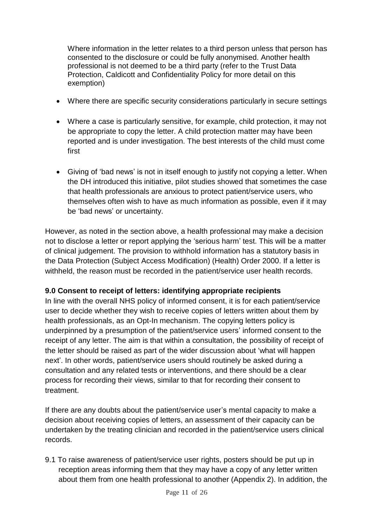Where information in the letter relates to a third person unless that person has consented to the disclosure or could be fully anonymised. Another health professional is not deemed to be a third party (refer to the Trust Data Protection, Caldicott and Confidentiality Policy for more detail on this exemption)

- Where there are specific security considerations particularly in secure settings
- Where a case is particularly sensitive, for example, child protection, it may not be appropriate to copy the letter. A child protection matter may have been reported and is under investigation. The best interests of the child must come first
- Giving of 'bad news' is not in itself enough to justify not copying a letter. When the DH introduced this initiative, pilot studies showed that sometimes the case that health professionals are anxious to protect patient/service users, who themselves often wish to have as much information as possible, even if it may be 'bad news' or uncertainty.

However, as noted in the section above, a health professional may make a decision not to disclose a letter or report applying the 'serious harm' test. This will be a matter of clinical judgement. The provision to withhold information has a statutory basis in the Data Protection (Subject Access Modification) (Health) Order 2000. If a letter is withheld, the reason must be recorded in the patient/service user health records.

#### **9.0 Consent to receipt of letters: identifying appropriate recipients**

In line with the overall NHS policy of informed consent, it is for each patient/service user to decide whether they wish to receive copies of letters written about them by health professionals, as an Opt-In mechanism. The copying letters policy is underpinned by a presumption of the patient/service users' informed consent to the receipt of any letter. The aim is that within a consultation, the possibility of receipt of the letter should be raised as part of the wider discussion about 'what will happen next'. In other words, patient/service users should routinely be asked during a consultation and any related tests or interventions, and there should be a clear process for recording their views, similar to that for recording their consent to treatment.

If there are any doubts about the patient/service user's mental capacity to make a decision about receiving copies of letters, an assessment of their capacity can be undertaken by the treating clinician and recorded in the patient/service users clinical records.

9.1 To raise awareness of patient/service user rights, posters should be put up in reception areas informing them that they may have a copy of any letter written about them from one health professional to another (Appendix 2). In addition, the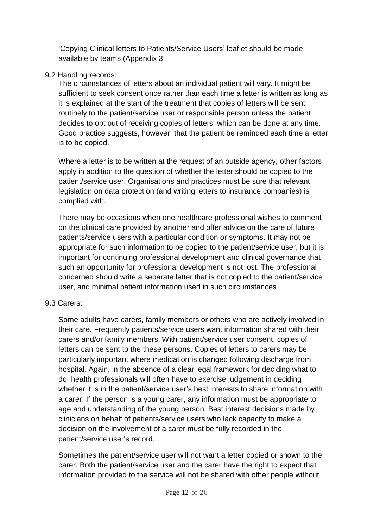'Copying Clinical letters to Patients/Service Users' leaflet should be made available by teams (Appendix 3

#### 9.2 Handling records:

The circumstances of letters about an individual patient will vary. It might be sufficient to seek consent once rather than each time a letter is written as long as it is explained at the start of the treatment that copies of letters will be sent routinely to the patient/service user or responsible person unless the patient decides to opt out of receiving copies of letters, which can be done at any time. Good practice suggests, however, that the patient be reminded each time a letter is to be copied.

Where a letter is to be written at the request of an outside agency, other factors apply in addition to the question of whether the letter should be copied to the patient/service user. Organisations and practices must be sure that relevant legislation on data protection (and writing letters to insurance companies) is complied with.

There may be occasions when one healthcare professional wishes to comment on the clinical care provided by another and offer advice on the care of future patients/service users with a particular condition or symptoms. It may not be appropriate for such information to be copied to the patient/service user, but it is important for continuing professional development and clinical governance that such an opportunity for professional development is not lost. The professional concerned should write a separate letter that is not copied to the patient/service user, and minimal patient information used in such circumstances

#### 9.3 Carers:

Some adults have carers, family members or others who are actively involved in their care. Frequently patients/service users want information shared with their carers and/or family members. With patient/service user consent, copies of letters can be sent to the these persons. Copies of letters to carers may be particularly important where medication is changed following discharge from hospital. Again, in the absence of a clear legal framework for deciding what to do, health professionals will often have to exercise judgement in deciding whether it is in the patient/service user's best interests to share information with a carer. If the person is a young carer, any information must be appropriate to age and understanding of the young person Best interest decisions made by clinicians on behalf of patients/service users who lack capacity to make a decision on the involvement of a carer must be fully recorded in the patient/service user's record.

Sometimes the patient/service user will not want a letter copied or shown to the carer. Both the patient/service user and the carer have the right to expect that information provided to the service will not be shared with other people without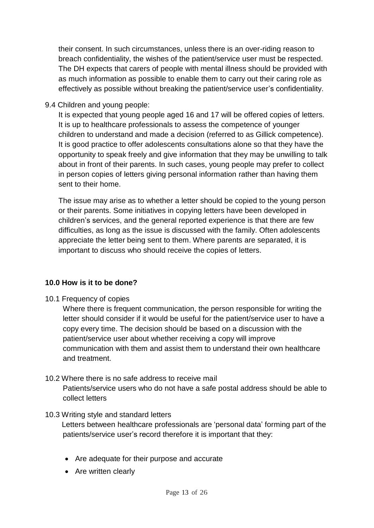their consent. In such circumstances, unless there is an over-riding reason to breach confidentiality, the wishes of the patient/service user must be respected. The DH expects that carers of people with mental illness should be provided with as much information as possible to enable them to carry out their caring role as effectively as possible without breaking the patient/service user's confidentiality.

#### 9.4 Children and young people:

It is expected that young people aged 16 and 17 will be offered copies of letters. It is up to healthcare professionals to assess the competence of younger children to understand and made a decision (referred to as Gillick competence). It is good practice to offer adolescents consultations alone so that they have the opportunity to speak freely and give information that they may be unwilling to talk about in front of their parents. In such cases, young people may prefer to collect in person copies of letters giving personal information rather than having them sent to their home.

The issue may arise as to whether a letter should be copied to the young person or their parents. Some initiatives in copying letters have been developed in children's services, and the general reported experience is that there are few difficulties, as long as the issue is discussed with the family. Often adolescents appreciate the letter being sent to them. Where parents are separated, it is important to discuss who should receive the copies of letters.

#### **10.0 How is it to be done?**

10.1 Frequency of copies

Where there is frequent communication, the person responsible for writing the letter should consider if it would be useful for the patient/service user to have a copy every time. The decision should be based on a discussion with the patient/service user about whether receiving a copy will improve communication with them and assist them to understand their own healthcare and treatment.

#### 10.2 Where there is no safe address to receive mail

Patients/service users who do not have a safe postal address should be able to collect letters

#### 10.3 Writing style and standard letters

Letters between healthcare professionals are 'personal data' forming part of the patients/service user's record therefore it is important that they:

- Are adequate for their purpose and accurate
- Are written clearly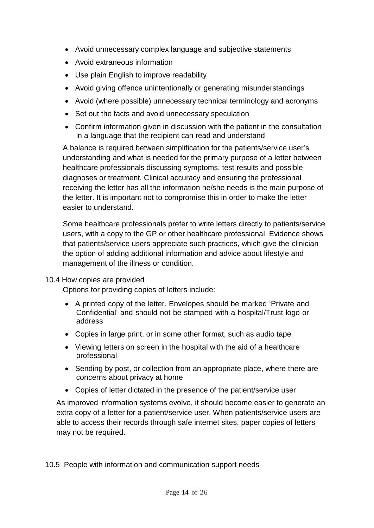- Avoid unnecessary complex language and subjective statements
- Avoid extraneous information
- Use plain English to improve readability
- Avoid giving offence unintentionally or generating misunderstandings
- Avoid (where possible) unnecessary technical terminology and acronyms
- Set out the facts and avoid unnecessary speculation
- Confirm information given in discussion with the patient in the consultation in a language that the recipient can read and understand

A balance is required between simplification for the patients/service user's understanding and what is needed for the primary purpose of a letter between healthcare professionals discussing symptoms, test results and possible diagnoses or treatment. Clinical accuracy and ensuring the professional receiving the letter has all the information he/she needs is the main purpose of the letter. It is important not to compromise this in order to make the letter easier to understand.

Some healthcare professionals prefer to write letters directly to patients/service users, with a copy to the GP or other healthcare professional. Evidence shows that patients/service users appreciate such practices, which give the clinician the option of adding additional information and advice about lifestyle and management of the illness or condition.

#### 10.4 How copies are provided

Options for providing copies of letters include:

- A printed copy of the letter. Envelopes should be marked 'Private and Confidential' and should not be stamped with a hospital/Trust logo or address
- Copies in large print, or in some other format, such as audio tape
- Viewing letters on screen in the hospital with the aid of a healthcare professional
- Sending by post, or collection from an appropriate place, where there are concerns about privacy at home
- Copies of letter dictated in the presence of the patient/service user

As improved information systems evolve, it should become easier to generate an extra copy of a letter for a patient/service user. When patients/service users are able to access their records through safe internet sites, paper copies of letters may not be required.

10.5 People with information and communication support needs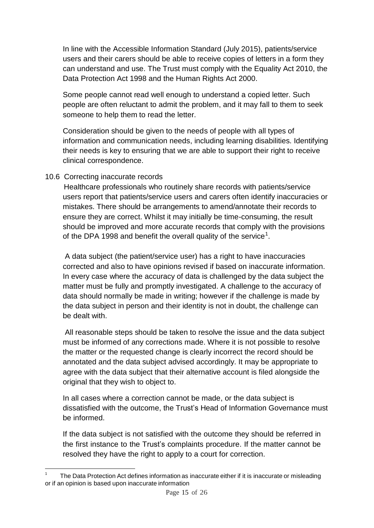In line with the Accessible Information Standard (July 2015), patients/service users and their carers should be able to receive copies of letters in a form they can understand and use. The Trust must comply with the Equality Act 2010, the Data Protection Act 1998 and the Human Rights Act 2000.

Some people cannot read well enough to understand a copied letter. Such people are often reluctant to admit the problem, and it may fall to them to seek someone to help them to read the letter.

Consideration should be given to the needs of people with all types of information and communication needs, including learning disabilities. Identifying their needs is key to ensuring that we are able to support their right to receive clinical correspondence.

#### 10.6 Correcting inaccurate records

Healthcare professionals who routinely share records with patients/service users report that patients/service users and carers often identify inaccuracies or mistakes. There should be arrangements to amend/annotate their records to ensure they are correct. Whilst it may initially be time-consuming, the result should be improved and more accurate records that comply with the provisions of the DPA 1998 and benefit the overall quality of the service<sup>1</sup>.

A data subject (the patient/service user) has a right to have inaccuracies corrected and also to have opinions revised if based on inaccurate information. In every case where the accuracy of data is challenged by the data subject the matter must be fully and promptly investigated. A challenge to the accuracy of data should normally be made in writing; however if the challenge is made by the data subject in person and their identity is not in doubt, the challenge can be dealt with.

All reasonable steps should be taken to resolve the issue and the data subject must be informed of any corrections made. Where it is not possible to resolve the matter or the requested change is clearly incorrect the record should be annotated and the data subject advised accordingly. It may be appropriate to agree with the data subject that their alternative account is filed alongside the original that they wish to object to.

In all cases where a correction cannot be made, or the data subject is dissatisfied with the outcome, the Trust's Head of Information Governance must be informed.

If the data subject is not satisfied with the outcome they should be referred in the first instance to the Trust's complaints procedure. If the matter cannot be resolved they have the right to apply to a court for correction.

<sup>1</sup> The Data Protection Act defines information as inaccurate either if it is inaccurate or misleading or if an opinion is based upon inaccurate information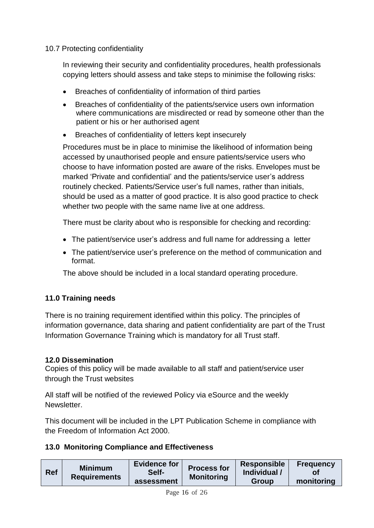#### 10.7 Protecting confidentiality

In reviewing their security and confidentiality procedures, health professionals copying letters should assess and take steps to minimise the following risks:

- Breaches of confidentiality of information of third parties
- Breaches of confidentiality of the patients/service users own information where communications are misdirected or read by someone other than the patient or his or her authorised agent
- Breaches of confidentiality of letters kept insecurely

Procedures must be in place to minimise the likelihood of information being accessed by unauthorised people and ensure patients/service users who choose to have information posted are aware of the risks. Envelopes must be marked 'Private and confidential' and the patients/service user's address routinely checked. Patients/Service user's full names, rather than initials, should be used as a matter of good practice. It is also good practice to check whether two people with the same name live at one address.

There must be clarity about who is responsible for checking and recording:

- The patient/service user's address and full name for addressing a letter
- The patient/service user's preference on the method of communication and format.

The above should be included in a local standard operating procedure.

#### **11.0 Training needs**

There is no training requirement identified within this policy. The principles of information governance, data sharing and patient confidentiality are part of the Trust Information Governance Training which is mandatory for all Trust staff.

#### **12.0 Dissemination**

Copies of this policy will be made available to all staff and patient/service user through the Trust websites

All staff will be notified of the reviewed Policy via eSource and the weekly Newsletter.

This document will be included in the LPT Publication Scheme in compliance with the Freedom of Information Act 2000.

#### **13.0 Monitoring Compliance and Effectiveness**

| <b>Evidence for</b><br><b>Process for</b><br><b>Minimum</b><br>Ref<br>Self-<br><b>Requirements</b><br><b>Monitoring</b><br>assessment | <b>Responsible</b><br><b>Frequency</b><br>Individual /<br>monitoring<br>Group |
|---------------------------------------------------------------------------------------------------------------------------------------|-------------------------------------------------------------------------------|
|---------------------------------------------------------------------------------------------------------------------------------------|-------------------------------------------------------------------------------|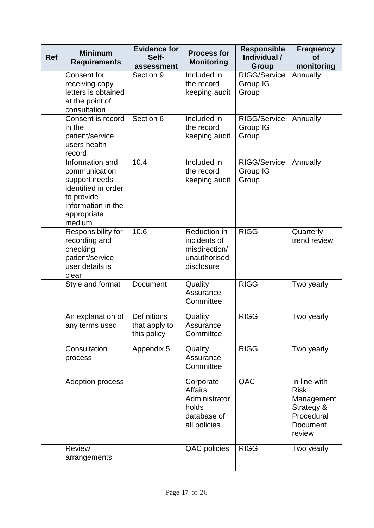| <b>Ref</b> | <b>Minimum</b><br><b>Requirements</b>                                                                                                 | <b>Evidence for</b><br>Self-<br>assessment         | <b>Process for</b><br><b>Monitoring</b>                                              | <b>Responsible</b><br>Individual /<br>Group | <b>Frequency</b><br><b>of</b><br>monitoring                                                 |
|------------|---------------------------------------------------------------------------------------------------------------------------------------|----------------------------------------------------|--------------------------------------------------------------------------------------|---------------------------------------------|---------------------------------------------------------------------------------------------|
|            | Consent for<br>receiving copy<br>letters is obtained<br>at the point of<br>consultation                                               | Section 9                                          | Included in<br>the record<br>keeping audit                                           | <b>RIGG/Service</b><br>Group IG<br>Group    | Annually                                                                                    |
|            | Consent is record<br>in the<br>patient/service<br>users health<br>record                                                              | Section 6                                          | Included in<br>the record<br>keeping audit                                           | RIGG/Service<br>Group IG<br>Group           | Annually                                                                                    |
|            | Information and<br>communication<br>support needs<br>identified in order<br>to provide<br>information in the<br>appropriate<br>medium | 10.4                                               | Included in<br>the record<br>keeping audit                                           | RIGG/Service<br>Group IG<br>Group           | Annually                                                                                    |
|            | Responsibility for<br>recording and<br>checking<br>patient/service<br>user details is<br>clear                                        | 10.6                                               | Reduction in<br>incidents of<br>misdirection/<br>unauthorised<br>disclosure          | <b>RIGG</b>                                 | Quarterly<br>trend review                                                                   |
|            | Style and format                                                                                                                      | Document                                           | Quality<br>Assurance<br>Committee                                                    | <b>RIGG</b>                                 | Two yearly                                                                                  |
|            | An explanation of<br>any terms used                                                                                                   | <b>Definitions</b><br>that apply to<br>this policy | Quality<br>Assurance<br>Committee                                                    | <b>RIGG</b>                                 | Two yearly                                                                                  |
|            | Consultation<br>process                                                                                                               | Appendix 5                                         | Quality<br>Assurance<br>Committee                                                    | <b>RIGG</b>                                 | Two yearly                                                                                  |
|            | Adoption process                                                                                                                      |                                                    | Corporate<br><b>Affairs</b><br>Administrator<br>holds<br>database of<br>all policies | QAC                                         | In line with<br><b>Risk</b><br>Management<br>Strategy &<br>Procedural<br>Document<br>review |
|            | <b>Review</b><br>arrangements                                                                                                         |                                                    | QAC policies                                                                         | <b>RIGG</b>                                 | Two yearly                                                                                  |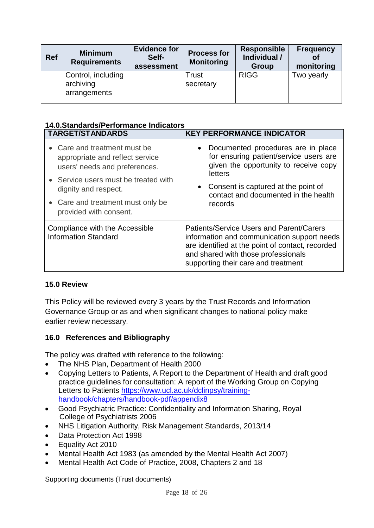| <b>Ref</b> | <b>Minimum</b><br><b>Requirements</b>           | <b>Evidence for</b><br>Self-<br>assessment | <b>Process for</b><br><b>Monitoring</b> | <b>Responsible</b><br>Individual /<br>Group | <b>Frequency</b><br>οf<br>monitoring |
|------------|-------------------------------------------------|--------------------------------------------|-----------------------------------------|---------------------------------------------|--------------------------------------|
|            | Control, including<br>archiving<br>arrangements |                                            | <b>Trust</b><br>secretary               | <b>RIGG</b>                                 | Two yearly                           |

#### **14.0.Standards/Performance Indicators**

| <b>TARGET/STANDARDS</b>                                                                          | <b>KEY PERFORMANCE INDICATOR</b>                                                                                                                                                                                                 |  |  |
|--------------------------------------------------------------------------------------------------|----------------------------------------------------------------------------------------------------------------------------------------------------------------------------------------------------------------------------------|--|--|
| • Care and treatment must be<br>appropriate and reflect service<br>users' needs and preferences. | • Documented procedures are in place<br>for ensuring patient/service users are<br>given the opportunity to receive copy<br>letters                                                                                               |  |  |
| • Service users must be treated with<br>dignity and respect.                                     | • Consent is captured at the point of<br>contact and documented in the health                                                                                                                                                    |  |  |
| • Care and treatment must only be<br>provided with consent.                                      | records                                                                                                                                                                                                                          |  |  |
| Compliance with the Accessible<br><b>Information Standard</b>                                    | <b>Patients/Service Users and Parent/Carers</b><br>information and communication support needs<br>are identified at the point of contact, recorded<br>and shared with those professionals<br>supporting their care and treatment |  |  |

#### **15.0 Review**

This Policy will be reviewed every 3 years by the Trust Records and Information Governance Group or as and when significant changes to national policy make earlier review necessary.

#### **16.0 References and Bibliography**

The policy was drafted with reference to the following:

- The NHS Plan, Department of Health 2000
- Copying Letters to Patients, A Report to the Department of Health and draft good practice guidelines for consultation: A report of the Working Group on Copying Letters to Patients [https://www.ucl.ac.uk/dclinpsy/training](https://www.ucl.ac.uk/dclinpsy/training-handbook/chapters/handbook-pdf/appendix8)[handbook/chapters/handbook-pdf/appendix8](https://www.ucl.ac.uk/dclinpsy/training-handbook/chapters/handbook-pdf/appendix8)
- Good Psychiatric Practice: Confidentiality and Information Sharing, Royal College of Psychiatrists 2006
- NHS Litigation Authority, Risk Management Standards, 2013/14
- Data Protection Act 1998
- Equality Act 2010
- Mental Health Act 1983 (as amended by the Mental Health Act 2007)
- Mental Health Act Code of Practice, 2008, Chapters 2 and 18

Supporting documents (Trust documents)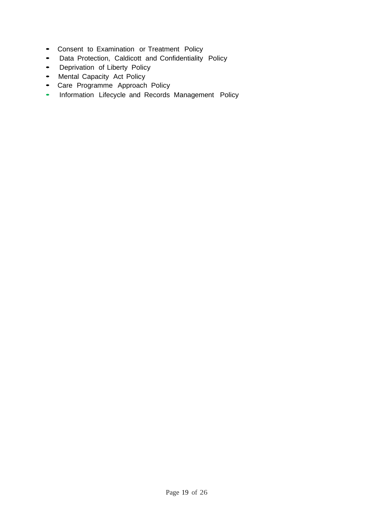- Consent to Examination or Treatment Policy
- Data Protection, Caldicott and Confidentiality Policy
- Deprivation of Liberty Policy
- Mental Capacity Act Policy
- Care Programme Approach Policy
- Information Lifecycle and Records Management Policy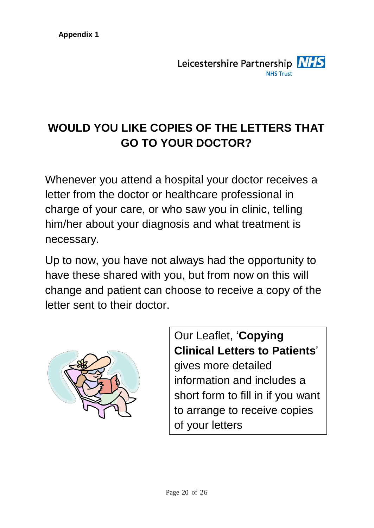# **WOULD YOU LIKE COPIES OF THE LETTERS THAT GO TO YOUR DOCTOR?**

Whenever you attend a hospital your doctor receives a letter from the doctor or healthcare professional in charge of your care, or who saw you in clinic, telling him/her about your diagnosis and what treatment is necessary.

Up to now, you have not always had the opportunity to have these shared with you, but from now on this will change and patient can choose to receive a copy of the letter sent to their doctor.



Our Leaflet, '**Copying Clinical Letters to Patients**' gives more detailed information and includes a short form to fill in if you want to arrange to receive copies of your letters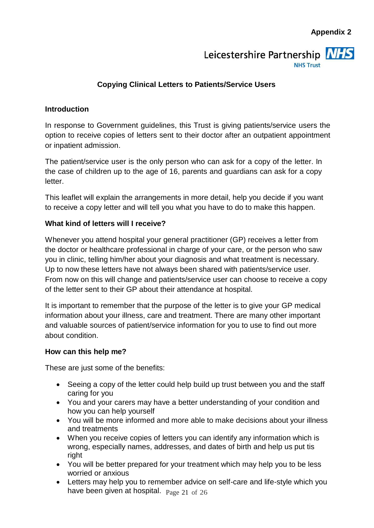# Leicestershire Partnership NHS **NHS Trust**

#### **Copying Clinical Letters to Patients/Service Users**

#### **Introduction**

In response to Government guidelines, this Trust is giving patients/service users the option to receive copies of letters sent to their doctor after an outpatient appointment or inpatient admission.

The patient/service user is the only person who can ask for a copy of the letter. In the case of children up to the age of 16, parents and guardians can ask for a copy letter.

This leaflet will explain the arrangements in more detail, help you decide if you want to receive a copy letter and will tell you what you have to do to make this happen.

#### **What kind of letters will I receive?**

Whenever you attend hospital your general practitioner (GP) receives a letter from the doctor or healthcare professional in charge of your care, or the person who saw you in clinic, telling him/her about your diagnosis and what treatment is necessary. Up to now these letters have not always been shared with patients/service user. From now on this will change and patients/service user can choose to receive a copy of the letter sent to their GP about their attendance at hospital.

It is important to remember that the purpose of the letter is to give your GP medical information about your illness, care and treatment. There are many other important and valuable sources of patient/service information for you to use to find out more about condition.

#### **How can this help me?**

These are just some of the benefits:

- Seeing a copy of the letter could help build up trust between you and the staff caring for you
- You and your carers may have a better understanding of your condition and how you can help yourself
- You will be more informed and more able to make decisions about your illness and treatments
- When you receive copies of letters you can identify any information which is wrong, especially names, addresses, and dates of birth and help us put tis right
- You will be better prepared for your treatment which may help you to be less worried or anxious
- have been given at hospital.  $_{\rm Page\ 21\ of\ 26}$ • Letters may help you to remember advice on self-care and life-style which you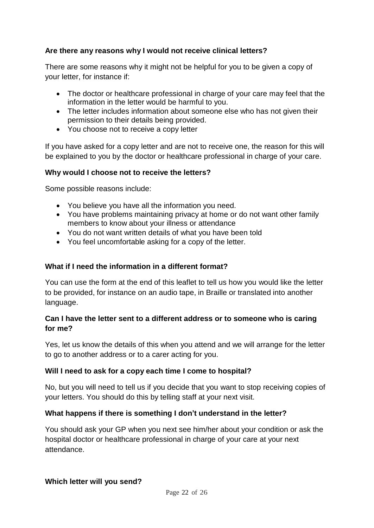#### **Are there any reasons why I would not receive clinical letters?**

There are some reasons why it might not be helpful for you to be given a copy of your letter, for instance if:

- The doctor or healthcare professional in charge of your care may feel that the information in the letter would be harmful to you.
- The letter includes information about someone else who has not given their permission to their details being provided.
- You choose not to receive a copy letter

If you have asked for a copy letter and are not to receive one, the reason for this will be explained to you by the doctor or healthcare professional in charge of your care.

#### **Why would I choose not to receive the letters?**

Some possible reasons include:

- You believe you have all the information you need.
- You have problems maintaining privacy at home or do not want other family members to know about your illness or attendance
- You do not want written details of what you have been told
- You feel uncomfortable asking for a copy of the letter.

#### **What if I need the information in a different format?**

You can use the form at the end of this leaflet to tell us how you would like the letter to be provided, for instance on an audio tape, in Braille or translated into another language.

#### **Can I have the letter sent to a different address or to someone who is caring for me?**

Yes, let us know the details of this when you attend and we will arrange for the letter to go to another address or to a carer acting for you.

#### **Will I need to ask for a copy each time I come to hospital?**

No, but you will need to tell us if you decide that you want to stop receiving copies of your letters. You should do this by telling staff at your next visit.

#### **What happens if there is something I don't understand in the letter?**

You should ask your GP when you next see him/her about your condition or ask the hospital doctor or healthcare professional in charge of your care at your next attendance.

#### **Which letter will you send?**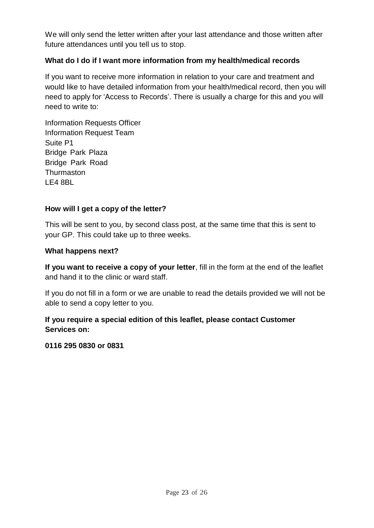We will only send the letter written after your last attendance and those written after future attendances until you tell us to stop.

#### **What do I do if I want more information from my health/medical records**

If you want to receive more information in relation to your care and treatment and would like to have detailed information from your health/medical record, then you will need to apply for 'Access to Records'. There is usually a charge for this and you will need to write to:

Information Requests Officer Information Request Team Suite P1 Bridge Park Plaza Bridge Park Road **Thurmaston** LE4 8BL

#### **How will I get a copy of the letter?**

This will be sent to you, by second class post, at the same time that this is sent to your GP. This could take up to three weeks.

#### **What happens next?**

**If you want to receive a copy of your letter**, fill in the form at the end of the leaflet and hand it to the clinic or ward staff.

If you do not fill in a form or we are unable to read the details provided we will not be able to send a copy letter to you.

#### **If you require a special edition of this leaflet, please contact Customer Services on:**

**0116 295 0830 or 0831**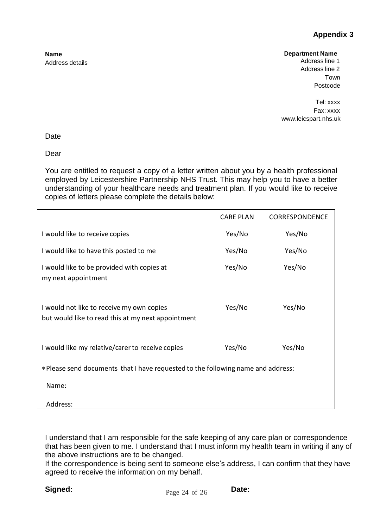#### **Appendix 3**

#### **Department Name**

Address line 1 Address line 2 Town Postcode

Tel: xxxx Fax: xxx[x](http://www.leicspart.nhs.uk/) [www.leicspart.nhs.uk](http://www.leicspart.nhs.uk/)

Date

**Name**

Address details

Dear

You are entitled to request a copy of a letter written about you by a health professional employed by Leicestershire Partnership NHS Trust. This may help you to have a better understanding of your healthcare needs and treatment plan. If you would like to receive copies of letters please complete the details below:

|                                                                                                 | <b>CARE PLAN</b> | <b>CORRESPONDENCE</b> |
|-------------------------------------------------------------------------------------------------|------------------|-----------------------|
| I would like to receive copies                                                                  | Yes/No           | Yes/No                |
| I would like to have this posted to me                                                          | Yes/No           | Yes/No                |
| I would like to be provided with copies at<br>my next appointment                               | Yes/No           | Yes/No                |
| I would not like to receive my own copies<br>but would like to read this at my next appointment | Yes/No           | Yes/No                |
| I would like my relative/carer to receive copies                                                | Yes/No           | Yes/No                |
| * Please send documents that I have requested to the following name and address:                |                  |                       |
| Name:                                                                                           |                  |                       |
| Address:                                                                                        |                  |                       |

I understand that I am responsible for the safe keeping of any care plan or correspondence that has been given to me. I understand that I must inform my health team in writing if any of the above instructions are to be changed.

If the correspondence is being sent to someone else's address, I can confirm that they have agreed to receive the information on my behalf.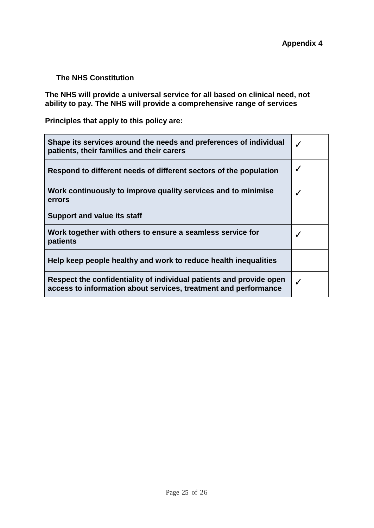#### **The NHS Constitution**

**The NHS will provide a universal service for all based on clinical need, not ability to pay. The NHS will provide a comprehensive range of services**

**Principles that apply to this policy are:**

| Shape its services around the needs and preferences of individual<br>patients, their families and their carers                         |   |
|----------------------------------------------------------------------------------------------------------------------------------------|---|
| Respond to different needs of different sectors of the population                                                                      |   |
| Work continuously to improve quality services and to minimise<br>errors                                                                |   |
| <b>Support and value its staff</b>                                                                                                     |   |
| Work together with others to ensure a seamless service for<br>patients                                                                 |   |
| Help keep people healthy and work to reduce health inequalities                                                                        |   |
| Respect the confidentiality of individual patients and provide open<br>access to information about services, treatment and performance | J |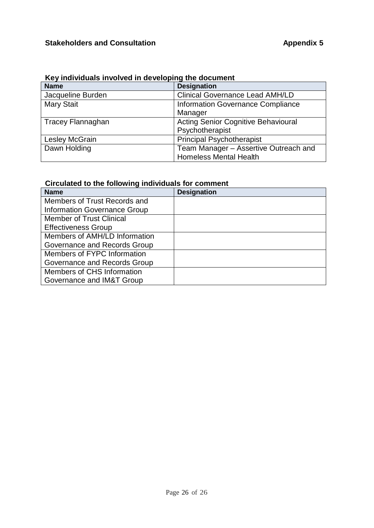|  |  |  | Key individuals involved in developing the document |
|--|--|--|-----------------------------------------------------|
|--|--|--|-----------------------------------------------------|

| <b>Name</b>              | <b>Designation</b>                         |
|--------------------------|--------------------------------------------|
| Jacqueline Burden        | <b>Clinical Governance Lead AMH/LD</b>     |
| <b>Mary Stait</b>        | Information Governance Compliance          |
|                          | Manager                                    |
| <b>Tracey Flannaghan</b> | <b>Acting Senior Cognitive Behavioural</b> |
|                          | Psychotherapist                            |
| Lesley McGrain           | <b>Principal Psychotherapist</b>           |
| Dawn Holding             | Team Manager - Assertive Outreach and      |
|                          | <b>Homeless Mental Health</b>              |

### **Circulated to the following individuals for comment**

| <b>Name</b>                     | <b>Designation</b> |
|---------------------------------|--------------------|
| Members of Trust Records and    |                    |
| Information Governance Group    |                    |
| <b>Member of Trust Clinical</b> |                    |
| <b>Effectiveness Group</b>      |                    |
| Members of AMH/LD Information   |                    |
| Governance and Records Group    |                    |
| Members of FYPC Information     |                    |
| Governance and Records Group    |                    |
| Members of CHS Information      |                    |
| Governance and IM&T Group       |                    |